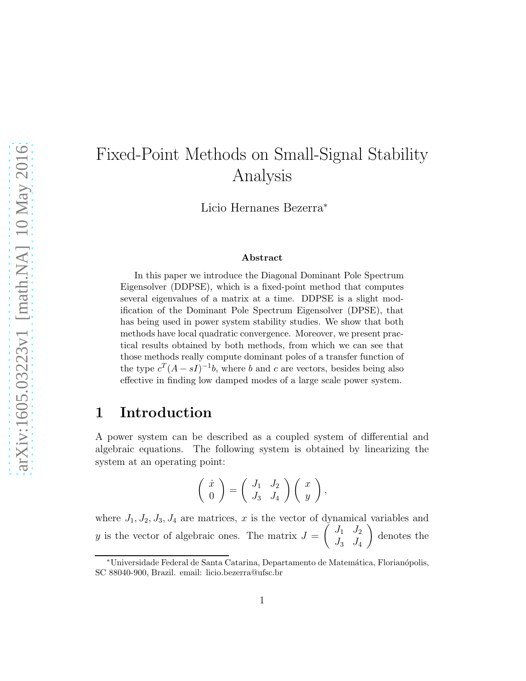# Fixed-Point Methods on Small-Signal Stability Analysis

Licio Hernanes Bezerra<sup>∗</sup>

#### Abstract

In this paper we introduce the Diagonal Dominant Pole Spectrum Eigensolver (DDPSE), which is a fixed-point method that computes several eigenvalues of a matrix at a time. DDPSE is a slight modification of the Dominant Pole Spectrum Eigensolver (DPSE), that has being used in power system stability studies. We show that both methods have local quadratic convergence. Moreover, we present practical results obtained by both methods, from which we can see that those methods really compute dominant poles of a transfer function of the type  $c^T(A - sI)^{-1}b$ , where b and c are vectors, besides being also effective in finding low damped modes of a large scale power system.

# 1 Introduction

A power system can be described as a coupled system of differential and algebraic equations. The following system is obtained by linearizing the system at an operating point:

$$
\left(\begin{array}{c}\n\dot{x} \\
0\n\end{array}\right) = \left(\begin{array}{cc}\nJ_1 & J_2 \\
J_3 & J_4\n\end{array}\right) \left(\begin{array}{c}\nx \\
y\n\end{array}\right),
$$

where  $J_1, J_2, J_3, J_4$  are matrices, x is the vector of dynamical variables and y is the vector of algebraic ones. The matrix  $J =$  $\int J_1 J_2$  $J_3$   $J_4$  $\setminus$ denotes the

<sup>∗</sup>Universidade Federal de Santa Catarina, Departamento de Matem´atica, Florian´opolis, SC 88040-900, Brazil. email: licio.bezerra@ufsc.br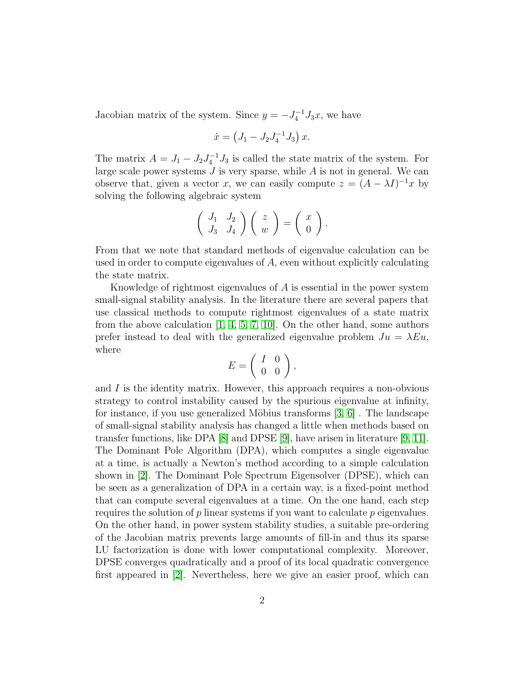Jacobian matrix of the system. Since  $y = -J_4^{-1}J_3x$ , we have

$$
\dot{x} = (J_1 - J_2 J_4^{-1} J_3) x.
$$

The matrix  $A = J_1 - J_2 J_4^{-1} J_3$  is called the state matrix of the system. For large scale power systems  $J$  is very sparse, while  $A$  is not in general. We can observe that, given a vector x, we can easily compute  $z = (A - \lambda I)^{-1}x$  by solving the following algebraic system

$$
\left(\begin{array}{cc}J_1 & J_2 \ J_3 & J_4\end{array}\right)\left(\begin{array}{c}z \\ w\end{array}\right)=\left(\begin{array}{c}x \\ 0\end{array}\right).
$$

From that we note that standard methods of eigenvalue calculation can be used in order to compute eigenvalues of A, even without explicitly calculating the state matrix.

Knowledge of rightmost eigenvalues of A is essential in the power system small-signal stability analysis. In the literature there are several papers that use classical methods to compute rightmost eigenvalues of a state matrix from the above calculation  $[1, 4, 5, 7, 10]$  $[1, 4, 5, 7, 10]$  $[1, 4, 5, 7, 10]$  $[1, 4, 5, 7, 10]$  $[1, 4, 5, 7, 10]$ . On the other hand, some authors prefer instead to deal with the generalized eigenvalue problem  $Ju = \lambda Eu$ , where

$$
E = \left( \begin{array}{cc} I & 0 \\ 0 & 0 \end{array} \right),
$$

and  $I$  is the identity matrix. However, this approach requires a non-obvious strategy to control instability caused by the spurious eigenvalue at infinity, for instance, if you use generalized Möbius transforms  $[3, 6]$  $[3, 6]$ . The landscape of small-signal stability analysis has changed a little when methods based on transfer functions, like DPA [\[8\]](#page-13-2) and DPSE [\[9\]](#page-13-3), have arisen in literature [\[9,](#page-13-3) [11\]](#page-13-4). The Dominant Pole Algorithm (DPA), which computes a single eigenvalue at a time, is actually a Newton's method according to a simple calculation shown in [\[2\]](#page-12-5). The Dominant Pole Spectrum Eigensolver (DPSE), which can be seen as a generalization of DPA in a certain way, is a fixed-point method that can compute several eigenvalues at a time. On the one hand, each step requires the solution of p linear systems if you want to calculate p eigenvalues. On the other hand, in power system stability studies, a suitable pre-ordering of the Jacobian matrix prevents large amounts of fill-in and thus its sparse LU factorization is done with lower computational complexity. Moreover, DPSE converges quadratically and a proof of its local quadratic convergence first appeared in [\[2\]](#page-12-5). Nevertheless, here we give an easier proof, which can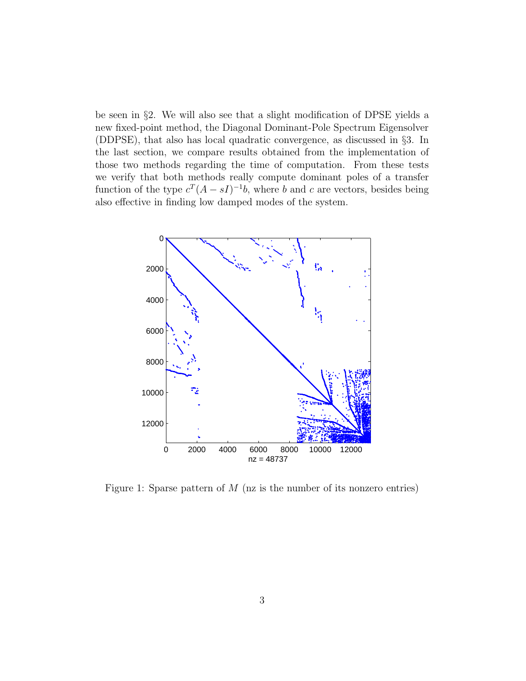be seen in §2. We will also see that a slight modification of DPSE yields a new fixed-point method, the Diagonal Dominant-Pole Spectrum Eigensolver (DDPSE), that also has local quadratic convergence, as discussed in §3. In the last section, we compare results obtained from the implementation of those two methods regarding the time of computation. From these tests we verify that both methods really compute dominant poles of a transfer function of the type  $c^T(A-sI)^{-1}b$ , where b and c are vectors, besides being also effective in finding low damped modes of the system.



Figure 1: Sparse pattern of  $M$  (nz is the number of its nonzero entries)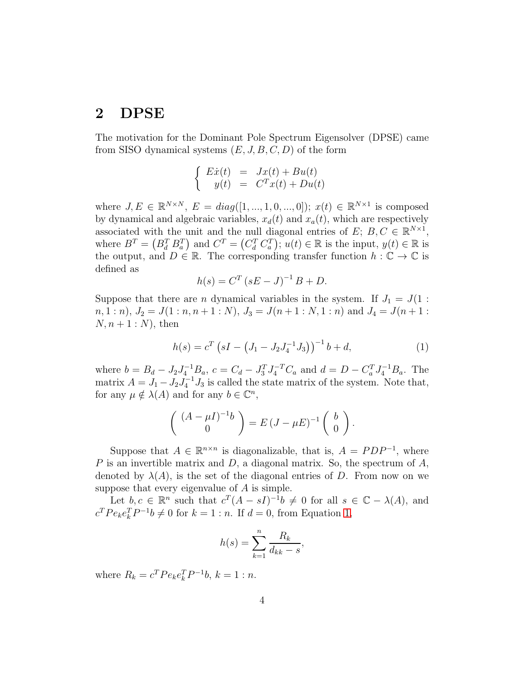# 2 DPSE

The motivation for the Dominant Pole Spectrum Eigensolver (DPSE) came from SISO dynamical systems  $(E, J, B, C, D)$  of the form

$$
\begin{cases}\nE\dot{x}(t) = Jx(t) + Bu(t) \\
y(t) = C^T x(t) + Du(t)\n\end{cases}
$$

where  $J, E \in \mathbb{R}^{N \times N}$ ,  $E = diag([1, ..., 1, 0, ..., 0])$ ;  $x(t) \in \mathbb{R}^{N \times 1}$  is composed by dynamical and algebraic variables,  $x_d(t)$  and  $x_a(t)$ , which are respectively associated with the unit and the null diagonal entries of E;  $B, C \in \mathbb{R}^{N \times 1}$ , where  $B^T = (B_d^T B_a^T)$  and  $C^T = (C_d^T C_a^T)$ ;  $u(t) \in \mathbb{R}$  is the input,  $y(t) \in \mathbb{R}$  is the output, and  $D \in \mathbb{R}$ . The corresponding transfer function  $h : \mathbb{C} \to \mathbb{C}$  is defined as

$$
h(s) = C^{T} (sE - J)^{-1} B + D.
$$

Suppose that there are *n* dynamical variables in the system. If  $J_1 = J(1$ :  $n, 1:n$ ,  $J_2 = J(1:n, n+1:N)$ ,  $J_3 = J(n+1:N, 1:n)$  and  $J_4 = J(n+1:n)$  $N, n + 1 : N$ , then

<span id="page-3-0"></span>
$$
h(s) = c^{T} \left( sI - \left( J_{1} - J_{2}J_{4}^{-1}J_{3} \right) \right)^{-1} b + d, \qquad (1)
$$

where  $b = B_d - J_2 J_4^{-1} B_a$ ,  $c = C_d - J_3^T J_4^{-T} C_a$  and  $d = D - C_a^T J_4^{-1} B_a$ . The matrix  $A = J_1 - J_2 J_4^{-1} J_3$  is called the state matrix of the system. Note that, for any  $\mu \notin \lambda(A)$  and for any  $b \in \mathbb{C}^n$ ,

$$
\left(\begin{array}{c} (A-\mu I)^{-1}b\\0\end{array}\right)=E\left(J-\mu E\right)^{-1}\left(\begin{array}{c}b\\0\end{array}\right).
$$

Suppose that  $A \in \mathbb{R}^{n \times n}$  is diagonalizable, that is,  $A = PDP^{-1}$ , where P is an invertible matrix and  $D$ , a diagonal matrix. So, the spectrum of  $A$ , denoted by  $\lambda(A)$ , is the set of the diagonal entries of D. From now on we suppose that every eigenvalue of A is simple.

Let  $b, c \in \mathbb{R}^n$  such that  $c^T (A - sI)^{-1} b \neq 0$  for all  $s \in \mathbb{C} - \lambda(A)$ , and  $c^T P e_k e_k^T P^{-1} b \neq 0$  for  $k = 1 : n$ . If  $d = 0$ , from Equation [1,](#page-3-0)

$$
h(s) = \sum_{k=1}^{n} \frac{R_k}{d_{kk} - s},
$$

where  $R_k = c^T P e_k e_k^T P^{-1} b, k = 1 : n$ .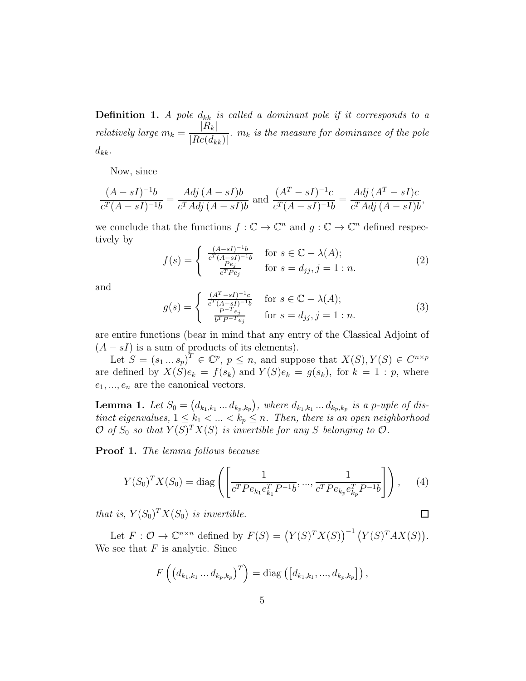**Definition 1.** A pole  $d_{kk}$  is called a dominant pole if it corresponds to a relatively large  $m_k = \frac{|R_k|}{|R_k|}$  $|Re(d_{kk})|$ .  $m_k$  is the measure for dominance of the pole  $d_{kk}$ .

Now, since

$$
\frac{(A-sI)^{-1}b}{c^T(A-sI)^{-1}b} = \frac{Adj (A-sI)b}{c^TAdj (A-sI)b} \text{ and } \frac{(A^T-sI)^{-1}c}{c^T(A-sI)^{-1}b} = \frac{Adj (A^T-sI)c}{c^TAdj (A-sI)b},
$$

we conclude that the functions  $f: \mathbb{C} \to \mathbb{C}^n$  and  $g: \mathbb{C} \to \mathbb{C}^n$  defined respectively by

$$
f(s) = \begin{cases} \frac{(A-sI)^{-1}b}{c^T(A-sI)^{-1}b} & \text{for } s \in \mathbb{C} - \lambda(A);\\ \frac{Pe_j}{c^TPe_j} & \text{for } s = d_{jj}, j = 1:n. \end{cases}
$$
 (2)

and

$$
g(s) = \begin{cases} \frac{(A^T - sI)^{-1}c}{c^T (A - sI)^{-1}b} & \text{for } s \in \mathbb{C} - \lambda(A);\\ \frac{P^{-T}e_j}{b^T P^{-T}e_j} & \text{for } s = d_{jj}, j = 1:n. \end{cases}
$$
(3)

are entire functions (bear in mind that any entry of the Classical Adjoint of  $(A - sI)$  is a sum of products of its elements).

Let  $S = (s_1 \dots s_p)^T \in \mathbb{C}^p$ ,  $p \leq n$ , and suppose that  $X(S), Y(S) \in C^{n \times p}$ are defined by  $X(S)e_k = f(s_k)$  and  $Y(S)e_k = g(s_k)$ , for  $k = 1 : p$ , where  $e_1, \ldots, e_n$  are the canonical vectors.

**Lemma 1.** Let  $S_0 = (d_{k_1,k_1} \dots d_{k_p,k_p})$ , where  $d_{k_1,k_1} \dots d_{k_p,k_p}$  is a p-uple of distinct eigenvalues,  $1 \leq k_1 < ... < k_p \leq n$ . Then, there is an open neighborhood  $\mathcal{O}$  of  $S_0$  so that  $Y(S)^T X(S)$  is invertible for any S belonging to  $\mathcal{O}$ .

Proof 1. The lemma follows because

<span id="page-4-0"></span>
$$
Y(S_0)^T X(S_0) = \text{diag}\left(\left[\frac{1}{c^T P e_{k_1} e_{k_1}^T P^{-1} b}, \dots, \frac{1}{c^T P e_{k_p} e_{k_p}^T P^{-1} b}\right]\right), \quad (4)
$$

that is,  $Y(S_0)^T X(S_0)$  is invertible.

Let  $F: \mathcal{O} \to \mathbb{C}^{n \times n}$  defined by  $F(S) = (Y(S)^T X(S))^{-1} (Y(S)^T A X(S)).$ We see that  $F$  is analytic. Since

$$
F\left(\left(d_{k_1,k_1}\dots d_{k_p,k_p}\right)^T\right) = \text{diag}\left(\left[d_{k_1,k_1},...,d_{k_p,k_p}\right]\right),
$$

 $\Box$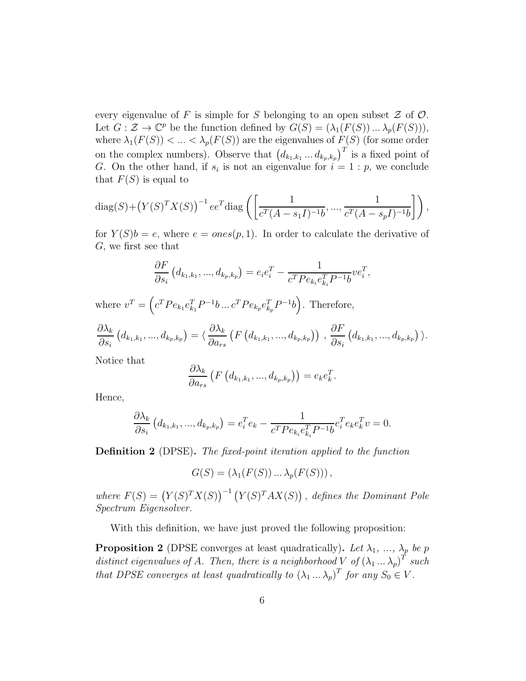every eigenvalue of F is simple for S belonging to an open subset  $\mathcal Z$  of  $\mathcal O$ . Let  $G: \mathcal{Z} \to \mathbb{C}^p$  be the function defined by  $G(S) = (\lambda_1(F(S)) \dots \lambda_p(F(S))),$ where  $\lambda_1(F(S)) < \ldots < \lambda_p(F(S))$  are the eigenvalues of  $F(S)$  (for some order on the complex numbers). Observe that  $(d_{k_1,k_1}...d_{k_p,k_p})^T$  is a fixed point of G. On the other hand, if  $s_i$  is not an eigenvalue for  $i = 1 : p$ , we conclude that  $F(S)$  is equal to

diag(S)+(Y(S)<sup>T</sup>X(S))<sup>-1</sup>ee<sup>T</sup>diag
$$
\left(\left[\frac{1}{c^{T}(A-s_{1}I)^{-1}b},...,\frac{1}{c^{T}(A-s_{p}I)^{-1}b}\right]\right)
$$
,

for  $Y(S)b = e$ , where  $e = ones(p, 1)$ . In order to calculate the derivative of G, we first see that

$$
\frac{\partial F}{\partial s_i} (d_{k_1,k_1}, ..., d_{k_p,k_p}) = e_i e_i^T - \frac{1}{c^T P e_{k_i} e_{k_i}^T P^{-1} b} v e_i^T,
$$

where  $v^T = \left(c^T P e_{k_1} e_{k_1}^T P^{-1} b \dots c^T P e_{k_p} e_{k_p}^T P^{-1} b\right)$ . Therefore,

$$
\frac{\partial \lambda_k}{\partial s_i} (d_{k_1,k_1},...,d_{k_p,k_p}) = \langle \frac{\partial \lambda_k}{\partial a_{rs}} (F (d_{k_1,k_1},...,d_{k_p,k_p})) \rangle, \frac{\partial F}{\partial s_i} (d_{k_1,k_1},...,d_{k_p,k_p}) \rangle.
$$

Notice that

$$
\frac{\partial \lambda_k}{\partial a_{rs}}\left(F\left(d_{k_1,k_1},...,d_{k_p,k_p}\right)\right)=e_ke_k^T.
$$

Hence,

$$
\frac{\partial \lambda_k}{\partial s_i} (d_{k_1,k_1},...,d_{k_p,k_p}) = e_i^T e_k - \frac{1}{c^T P e_{k_i} e_{k_i}^T P^{-1} b} e_i^T e_k e_k^T v = 0.
$$

Definition 2 (DPSE). The fixed-point iteration applied to the function

$$
G(S) = (\lambda_1(F(S)) \dots \lambda_p(F(S))),
$$

where  $F(S) = (Y(S)^T X(S))^{-1} (Y(S)^T A X(S))$ , defines the Dominant Pole Spectrum Eigensolver.

With this definition, we have just proved the following proposition:

**Proposition 2** (DPSE converges at least quadratically). Let  $\lambda_1$ , ...,  $\lambda_p$  be p distinct eigenvalues of A. Then, there is a neighborhood V of  $(\lambda_1 ... \lambda_p)^T$  such that DPSE converges at least quadratically to  $(\lambda_1 ... \lambda_p)^T$  for any  $S_0 \in V$ .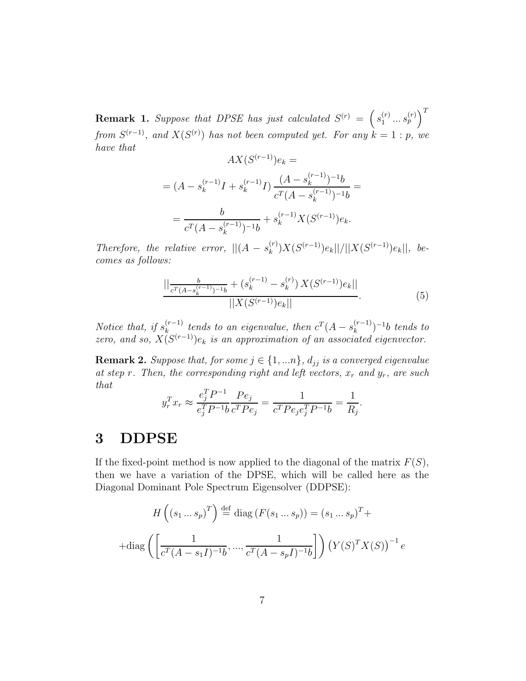**Remark 1.** Suppose that DPSE has just calculated  $S^{(r)} = \begin{pmatrix} S_1^{(r)} \end{pmatrix}$  $\binom{r}{1} \ldots s_p^{(r)}$ from  $S^{(r-1)}$ , and  $X(S^{(r)})$  has not been computed yet. For any  $k = 1:p$ , we have that

$$
AX(S^{(r-1)})e_k =
$$
  
=  $(A - s_k^{(r-1)}I + s_k^{(r-1)}I) \frac{(A - s_k^{(r-1)})^{-1}b}{c^T(A - s_k^{(r-1)})^{-1}b} =$   
=  $\frac{b}{c^T(A - s_k^{(r-1)})^{-1}b} + s_k^{(r-1)}X(S^{(r-1)})e_k.$ 

Therefore, the relative error,  $||(A - s_k^{(r)})$  $\binom{(r)}{k} X(S^{(r-1)})e_k ||/|| X(S^{(r-1)})e_k ||, \; be$ comes as follows:

<span id="page-6-0"></span>
$$
\frac{||\frac{b}{c^T (A - s_k^{(r-1)})^{-1} b} + (s_k^{(r-1)} - s_k^{(r)}) X(S^{(r-1)}) e_k||}{||X(S^{(r-1)}) e_k||}.
$$
\n(5)

Notice that, if  $s_k^{(r-1)}$  $\int_k^{(r-1)}$  tends to an eigenvalue, then  $c^T(A-s_k^{(r-1)})$  $\binom{(r-1)}{k}$ <sup>-1</sup>b tends to zero, and so,  $X(S^{(r-1)})e_k$  is an approximation of an associated eigenvector.

**Remark 2.** Suppose that, for some  $j \in \{1, ..., n\}$ ,  $d_{jj}$  is a converged eigenvalue at step r. Then, the corresponding right and left vectors,  $x_r$  and  $y_r$ , are such that

$$
y_r^T x_r \approx \frac{e_j^T P^{-1}}{e_j^T P^{-1} b} \frac{P e_j}{c^T P e_j} = \frac{1}{c^T P e_j e_j^T P^{-1} b} = \frac{1}{R_j}.
$$

# 3 DDPSE

If the fixed-point method is now applied to the diagonal of the matrix  $F(S)$ , then we have a variation of the DPSE, which will be called here as the Diagonal Dominant Pole Spectrum Eigensolver (DDPSE):

$$
H\left((s_1 \dots s_p)^T\right) \stackrel{\text{def}}{=} \text{diag}\left(F(s_1 \dots s_p)\right) = (s_1 \dots s_p)^T +
$$

$$
+ \text{diag}\left(\left[\frac{1}{c^T(A - s_1 I)^{-1} b}, \dots, \frac{1}{c^T(A - s_p I)^{-1} b}\right]\right) \left(Y(S)^T X(S)\right)^{-1} e
$$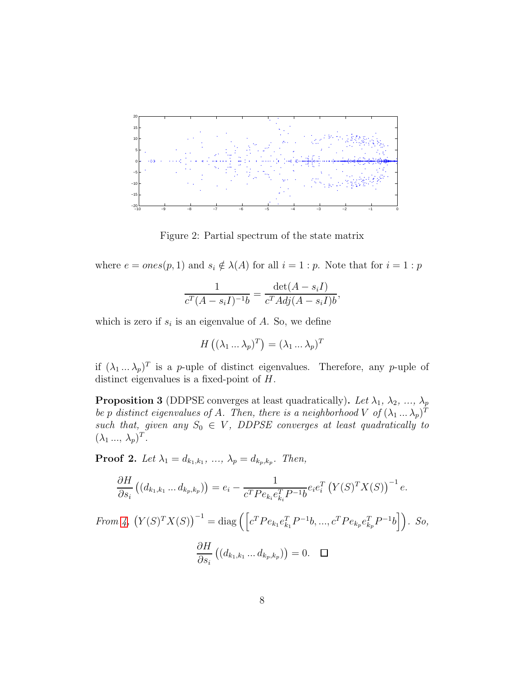

Figure 2: Partial spectrum of the state matrix

where  $e = ones(p, 1)$  and  $s_i \notin \lambda(A)$  for all  $i = 1 : p$ . Note that for  $i = 1 : p$ 

$$
\frac{1}{c^T(A - s_i I)^{-1}b} = \frac{\det(A - s_i I)}{c^T Adj(A - s_i I)b},
$$

which is zero if  $s_i$  is an eigenvalue of A. So, we define

$$
H\left((\lambda_1 \dots \lambda_p)^T\right) = (\lambda_1 \dots \lambda_p)^T
$$

if  $(\lambda_1 \dots \lambda_p)^T$  is a *p*-uple of distinct eigenvalues. Therefore, any *p*-uple of distinct eigenvalues is a fixed-point of H.

**Proposition 3** (DDPSE converges at least quadratically). Let  $\lambda_1$ ,  $\lambda_2$ , ...,  $\lambda_p$ be p distinct eigenvalues of A. Then, there is a neighborhood V of  $(\lambda_1 ... \lambda_p)^T$ such that, given any  $S_0 \in V$ , DDPSE converges at least quadratically to  $(\lambda_1 ..., \lambda_p)^T$ .

**Proof 2.** Let  $\lambda_1 = d_{k_1, k_1}, \ldots, \lambda_p = d_{k_p, k_p}$ . Then,

$$
\frac{\partial H}{\partial s_i} ((d_{k_1,k_1} \dots d_{k_p,k_p})) = e_i - \frac{1}{c^T P e_{k_i} e_{k_i}^T P^{-1} b} e_i e_i^T (Y(S)^T X(S))^{-1} e.
$$

From 4, 
$$
(Y(S)^T X(S))^{-1} = \text{diag}\left(\left[c^T P e_{k_1} e_{k_1}^T P^{-1} b, ..., c^T P e_{k_p} e_{k_p}^T P^{-1} b\right]\right)
$$
. So,  
\n
$$
\frac{\partial H}{\partial s_i} ((d_{k_1, k_1} ... d_{k_p, k_p})) = 0. \quad \Box
$$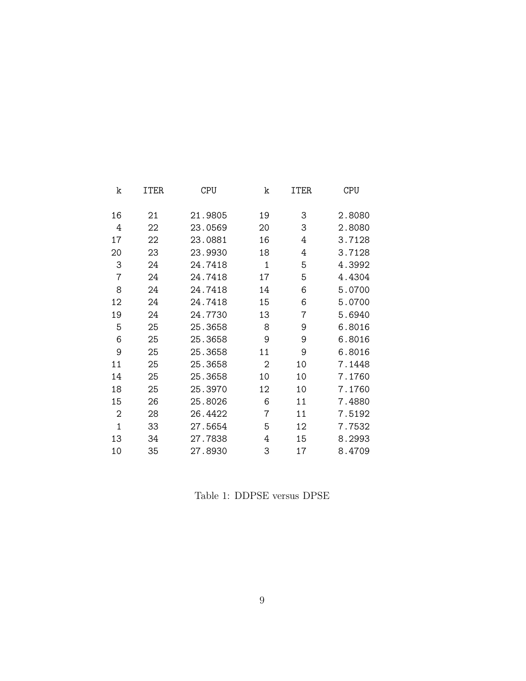| k              | <b>ITER</b> | <b>CPU</b> | k              | <b>ITER</b>    | <b>CPU</b> |
|----------------|-------------|------------|----------------|----------------|------------|
|                |             |            |                | 3              | 2.8080     |
| 16             | 21          | 21.9805    | 19             |                |            |
| 4              | 22          | 23.0569    | 20             | 3              | 2.8080     |
| 17             | 22          | 23.0881    | 16             | 4              | 3.7128     |
| 20             | 23          | 23.9930    | 18             | 4              | 3.7128     |
| 3              | 24          | 24.7418    | 1              | 5              | 4.3992     |
| $\sqrt{ }$     | 24          | 24.7418    | 17             | 5              | 4.4304     |
| 8              | 24          | 24.7418    | 14             | 6              | 5.0700     |
| 12             | 24          | 24.7418    | 15             | 6              | 5.0700     |
| 19             | 24          | 24.7730    | 13             | $\overline{7}$ | 5.6940     |
| 5              | 25          | 25.3658    | 8              | 9              | 6.8016     |
| 6              | 25          | 25.3658    | 9              | 9              | 6.8016     |
| 9              | 25          | 25.3658    | 11             | 9              | 6.8016     |
| 11             | 25          | 25.3658    | $\overline{2}$ | 10             | 7.1448     |
| 14             | 25          | 25.3658    | 10             | 10             | 7.1760     |
| 18             | 25          | 25.3970    | 12             | 10             | 7.1760     |
| 15             | 26          | 25.8026    | 6              | 11             | 7.4880     |
| $\overline{2}$ | 28          | 26.4422    | 7              | 11             | 7.5192     |
| 1              | 33          | 27.5654    | 5              | 12             | 7.7532     |
| 13             | 34          | 27.7838    | 4              | 15             | 8.2993     |
| 10             | 35          | 27.8930    | 3              | 17             | 8.4709     |

Table 1: DDPSE versus DPSE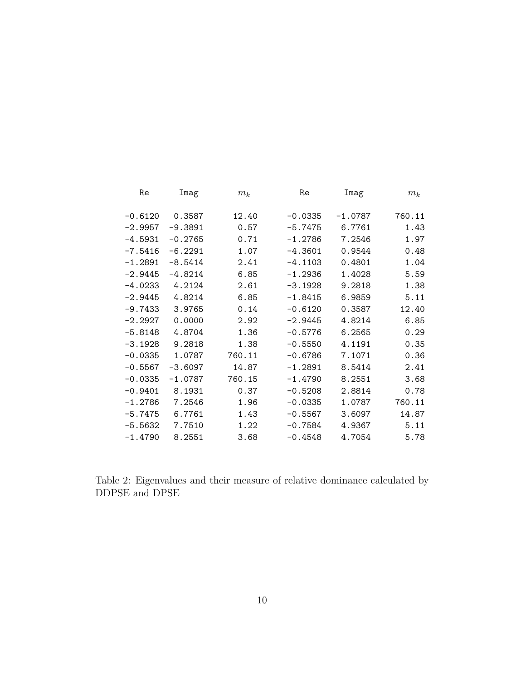| Re        | Imag      | $m_k$  | Re        | Imag      | $m_k$  |
|-----------|-----------|--------|-----------|-----------|--------|
|           |           |        |           |           |        |
| $-0.6120$ | 0.3587    | 12.40  | $-0.0335$ | $-1.0787$ | 760.11 |
| $-2.9957$ | $-9.3891$ | 0.57   | $-5.7475$ | 6.7761    | 1.43   |
| $-4.5931$ | $-0.2765$ | 0.71   | $-1.2786$ | 7.2546    | 1.97   |
| $-7.5416$ | $-6.2291$ | 1.07   | $-4.3601$ | 0.9544    | 0.48   |
| $-1.2891$ | $-8.5414$ | 2.41   | $-4.1103$ | 0.4801    | 1.04   |
| $-2.9445$ | $-4.8214$ | 6.85   | $-1.2936$ | 1.4028    | 5.59   |
| -4.0233   | 4.2124    | 2.61   | $-3.1928$ | 9.2818    | 1.38   |
| $-2.9445$ | 4.8214    | 6.85   | $-1.8415$ | 6.9859    | 5.11   |
| $-9.7433$ | 3.9765    | 0.14   | $-0.6120$ | 0.3587    | 12.40  |
| $-2.2927$ | 0.0000    | 2.92   | $-2.9445$ | 4.8214    | 6.85   |
| $-5.8148$ | 4.8704    | 1.36   | $-0.5776$ | 6.2565    | 0.29   |
| $-3.1928$ | 9.2818    | 1.38   | $-0.5550$ | 4.1191    | 0.35   |
| $-0.0335$ | 1.0787    | 760.11 | $-0.6786$ | 7.1071    | 0.36   |
| $-0.5567$ | $-3.6097$ | 14.87  | $-1.2891$ | 8.5414    | 2.41   |
| $-0.0335$ | $-1.0787$ | 760.15 | $-1.4790$ | 8.2551    | 3.68   |
| $-0.9401$ | 8.1931    | 0.37   | $-0.5208$ | 2.8814    | 0.78   |
| $-1.2786$ | 7.2546    | 1.96   | $-0.0335$ | 1.0787    | 760.11 |
| $-5.7475$ | 6.7761    | 1.43   | $-0.5567$ | 3.6097    | 14.87  |
| $-5.5632$ | 7.7510    | 1.22   | $-0.7584$ | 4.9367    | 5.11   |
| $-1.4790$ | 8.2551    | 3.68   | $-0.4548$ | 4.7054    | 5.78   |

Table 2: Eigenvalues and their measure of relative dominance calculated by DDPSE and DPSE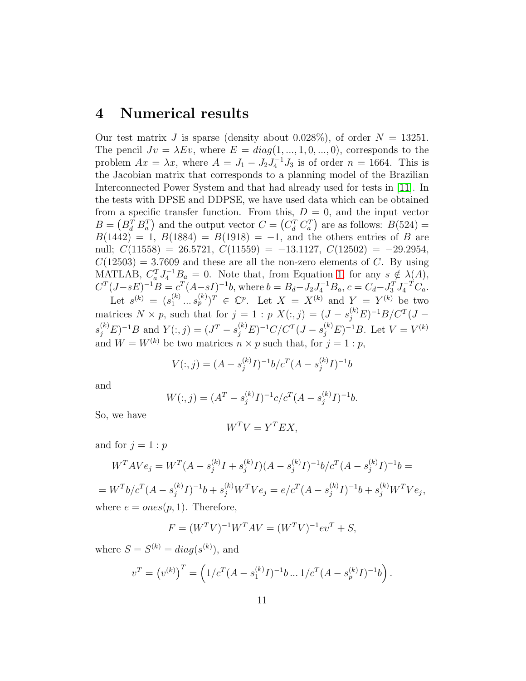## 4 Numerical results

Our test matrix J is sparse (density about 0.028%), of order  $N = 13251$ . The pencil  $Jv = \lambda Ev$ , where  $E = diag(1, ..., 1, 0, ..., 0)$ , corresponds to the problem  $Ax = \lambda x$ , where  $A = J_1 - J_2 J_4^{-1} J_3$  is of order  $n = 1664$ . This is the Jacobian matrix that corresponds to a planning model of the Brazilian Interconnected Power System and that had already used for tests in [\[11\]](#page-13-4). In the tests with DPSE and DDPSE, we have used data which can be obtained from a specific transfer function. From this,  $D = 0$ , and the input vector  $B = (B_d^T B_a^T)$  and the output vector  $C = (C_d^T C_a^T)$  are as follows:  $B(524) =$  $B(1442) = 1, B(1884) = B(1918) = -1,$  and the others entries of B are null;  $C(11558) = 26.5721, C(11559) = -13.1127, C(12502) = -29.2954,$  $C(12503) = 3.7609$  and these are all the non-zero elements of C. By using MATLAB,  $C_a^T J_4^{-1} B_a = 0$ . Note that, from Equation [1,](#page-3-0) for any  $s \notin \lambda(A)$ ,  $C^{T}(J-sE)^{-1}B = c^{T}(A-sI)^{-1}b$ , where  $b = B_d - J_2 J_4^{-1}B_a$ ,  $c = C_d - J_3^{T}J_4^{-T}C_a$ . Let  $s^{(k)} = (s_1^{(k)})$  $\binom{k}{1}...s_{p}^{(k)}$   $T \in \mathbb{C}^{p}$ . Let  $X = X^{(k)}$  and  $Y = Y^{(k)}$  be two

matrices  $N \times p$ , such that for  $j = 1$ :  $p X(:,j) = (J - s_j^{(k)} E)^{-1} B / C^T (J$  $s_j^{(k)}E)^{-1}B$  and  $Y(:,j) = (J^T - s_j^{(k)}E)^{-1}C/C^T(J - s_j^{(k)}E)^{-1}B$ . Let  $V = V^{(k)}$ and  $W = W^{(k)}$  be two matrices  $n \times p$  such that, for  $j = 1 : p$ ,

$$
V(:,j) = (A - s_j^{(k)}I)^{-1}b/c^T(A - s_j^{(k)}I)^{-1}b
$$

and

$$
W(:, j) = (AT - sj(k) I)-1 c/cT (A - sj(k) I)-1b.
$$

So, we have

$$
W^T V = Y^T E X,
$$

and for  $j = 1 : p$ 

$$
W^{T} A V e_j = W^{T} (A - s_j^{(k)} I + s_j^{(k)} I)(A - s_j^{(k)} I)^{-1} b / c^{T} (A - s_j^{(k)} I)^{-1} b =
$$

$$
=W^{T}b/c^{T}(A-s_{j}^{(k)}I)^{-1}b+s_{j}^{(k)}W^{T}Ve_{j}=e/c^{T}(A-s_{j}^{(k)}I)^{-1}b+s_{j}^{(k)}W^{T}Ve_{j},
$$
  
where  $e=ones(p,1)$ . Therefore,

$$
F = (W^T V)^{-1} W^T A V = (W^T V)^{-1} e v^T + S,
$$

where  $S = S^{(k)} = diag(s^{(k)})$ , and

$$
v^{T} = (v^{(k)})^{T} = (1/c^{T}(A - s_{1}^{(k)}I)^{-1}b ... 1/c^{T}(A - s_{p}^{(k)}I)^{-1}b).
$$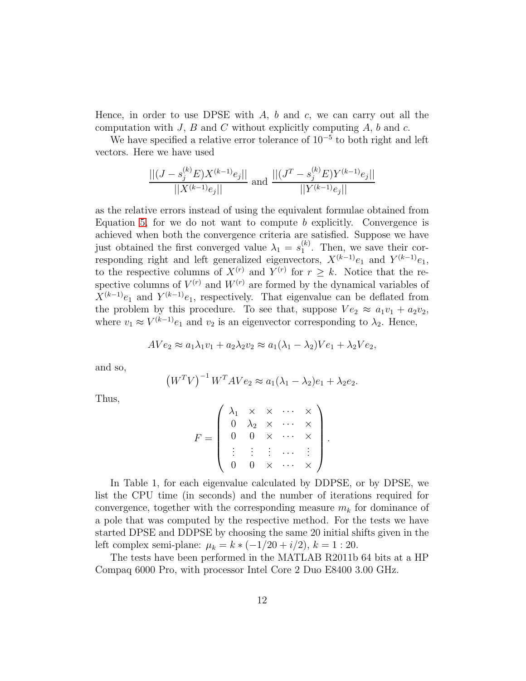Hence, in order to use DPSE with  $A$ ,  $b$  and  $c$ , we can carry out all the computation with  $J$ ,  $B$  and  $C$  without explicitly computing  $A$ ,  $b$  and  $c$ .

We have specified a relative error tolerance of  $10^{-5}$  to both right and left vectors. Here we have used

$$
\frac{||(J - s_j^{(k)}E)X^{(k-1)}e_j||}{||X^{(k-1)}e_j||} \text{ and } \frac{||(J^T - s_j^{(k)}E)Y^{(k-1)}e_j||}{||Y^{(k-1)}e_j||}
$$

as the relative errors instead of using the equivalent formulae obtained from Equation [5,](#page-6-0) for we do not want to compute  $b$  explicitly. Convergence is achieved when both the convergence criteria are satisfied. Suppose we have just obtained the first converged value  $\lambda_1 = s_1^{(k)}$  $_1^{(k)}$ . Then, we save their corresponding right and left generalized eigenvectors,  $X^{(k-1)}e_1$  and  $Y^{(k-1)}e_1$ , to the respective columns of  $X^{(r)}$  and  $Y^{(r)}$  for  $r \geq k$ . Notice that the respective columns of  $V^{(r)}$  and  $W^{(r)}$  are formed by the dynamical variables of  $X^{(k-1)}e_1$  and  $Y^{(k-1)}e_1$ , respectively. That eigenvalue can be deflated from the problem by this procedure. To see that, suppose  $Ve_2 \approx a_1v_1 + a_2v_2$ , where  $v_1 \approx V^{(k-1)}e_1$  and  $v_2$  is an eigenvector corresponding to  $\lambda_2$ . Hence,

$$
AVe_2 \approx a_1 \lambda_1 v_1 + a_2 \lambda_2 v_2 \approx a_1 (\lambda_1 - \lambda_2) Ve_1 + \lambda_2 Ve_2,
$$

and so,

$$
(WTV)-1 WT A V e2 \approx a1(\lambda1 - \lambda2)e1 + \lambda2 e2.
$$

Thus,

$$
F = \left(\begin{array}{cccc} \lambda_1 & \times & \times & \cdots & \times \\ 0 & \lambda_2 & \times & \cdots & \times \\ 0 & 0 & \times & \cdots & \times \\ \vdots & \vdots & \vdots & \cdots & \vdots \\ 0 & 0 & \times & \cdots & \times \end{array}\right).
$$

In Table 1, for each eigenvalue calculated by DDPSE, or by DPSE, we list the CPU time (in seconds) and the number of iterations required for convergence, together with the corresponding measure  $m_k$  for dominance of a pole that was computed by the respective method. For the tests we have started DPSE and DDPSE by choosing the same 20 initial shifts given in the left complex semi-plane:  $\mu_k = k * (-1/20 + i/2), k = 1 : 20$ .

The tests have been performed in the MATLAB R2011b 64 bits at a HP Compaq 6000 Pro, with processor Intel Core 2 Duo E8400 3.00 GHz.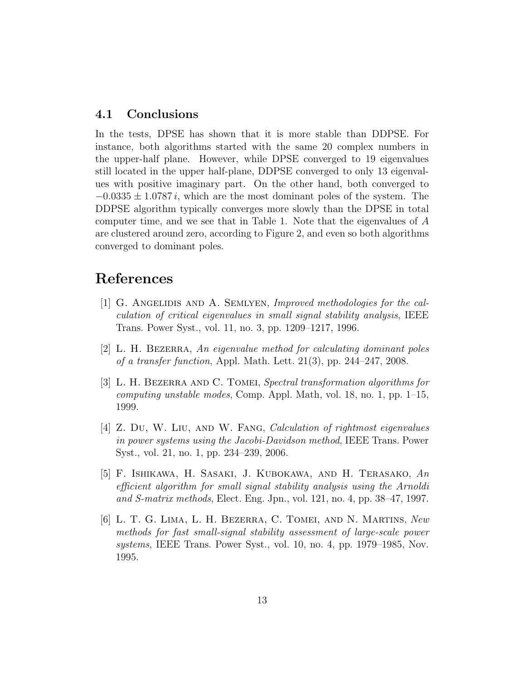### 4.1 Conclusions

In the tests, DPSE has shown that it is more stable than DDPSE. For instance, both algorithms started with the same 20 complex numbers in the upper-half plane. However, while DPSE converged to 19 eigenvalues still located in the upper half-plane, DDPSE converged to only 13 eigenvalues with positive imaginary part. On the other hand, both converged to  $-0.0335 \pm 1.0787 i$ , which are the most dominant poles of the system. The DDPSE algorithm typically converges more slowly than the DPSE in total computer time, and we see that in Table 1. Note that the eigenvalues of A are clustered around zero, according to Figure 2, and even so both algorithms converged to dominant poles.

# <span id="page-12-0"></span>References

- [1] G. Angelidis and A. Semlyen, Improved methodologies for the calculation of critical eigenvalues in small signal stability analysis, IEEE Trans. Power Syst., vol. 11, no. 3, pp. 1209–1217, 1996.
- <span id="page-12-5"></span><span id="page-12-3"></span> $[2]$  L. H. BEZERRA, An eigenvalue method for calculating dominant poles of a transfer function, Appl. Math. Lett. 21(3), pp. 244–247, 2008.
- [3] L. H. Bezerra and C. Tomei, Spectral transformation algorithms for computing unstable modes, Comp. Appl. Math, vol. 18, no. 1, pp. 1–15, 1999.
- <span id="page-12-1"></span>[4] Z. Du, W. Liu, and W. Fang, Calculation of rightmost eigenvalues in power systems using the Jacobi-Davidson method, IEEE Trans. Power Syst., vol. 21, no. 1, pp. 234–239, 2006.
- <span id="page-12-2"></span>[5] F. Ishikawa, H. Sasaki, J. Kubokawa, and H. Terasako, An efficient algorithm for small signal stability analysis using the Arnoldi and S-matrix methods, Elect. Eng. Jpn., vol. 121, no. 4, pp. 38–47, 1997.
- <span id="page-12-4"></span>[6] L. T. G. Lima, L. H. Bezerra, C. Tomei, and N. Martins, New methods for fast small-signal stability assessment of large-scale power systems, IEEE Trans. Power Syst., vol. 10, no. 4, pp. 1979–1985, Nov. 1995.